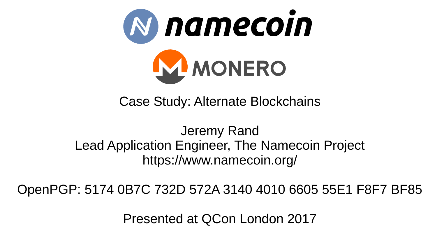

Case Study: Alternate Blockchains

Jeremy Rand Lead Application Engineer, The Namecoin Project https://www.namecoin.org/

OpenPGP: 5174 0B7C 732D 572A 3140 4010 6605 55E1 F8F7 BF85

Presented at QCon London 2017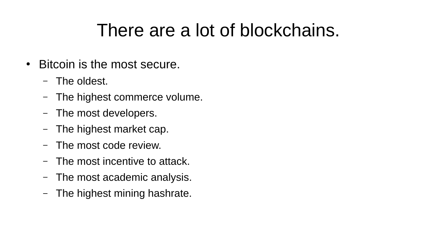### There are a lot of blockchains.

- Bitcoin is the most secure.
	- The oldest.
	- The highest commerce volume.
	- The most developers.
	- The highest market cap.
	- The most code review.
	- The most incentive to attack.
	- The most academic analysis.
	- The highest mining hashrate.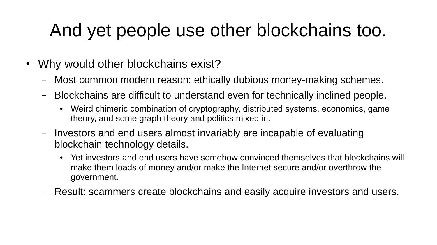# And yet people use other blockchains too.

- Why would other blockchains exist?
	- Most common modern reason: ethically dubious money-making schemes.
	- Blockchains are difficult to understand even for technically inclined people.
		- Weird chimeric combination of cryptography, distributed systems, economics, game theory, and some graph theory and politics mixed in.
	- Investors and end users almost invariably are incapable of evaluating blockchain technology details.
		- Yet investors and end users have somehow convinced themselves that blockchains will make them loads of money and/or make the Internet secure and/or overthrow the government.
	- Result: scammers create blockchains and easily acquire investors and users.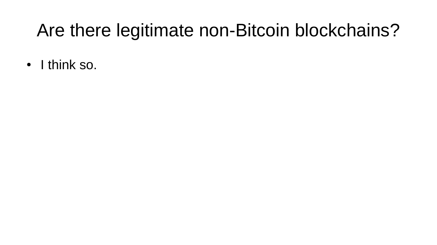## Are there legitimate non-Bitcoin blockchains?

• I think so.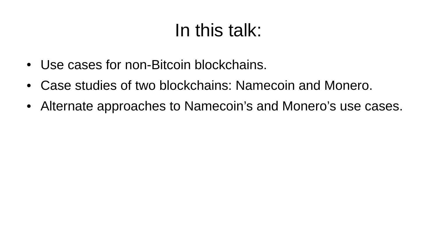## In this talk:

- Use cases for non-Bitcoin blockchains.
- Case studies of two blockchains: Namecoin and Monero.
- Alternate approaches to Namecoin's and Monero's use cases.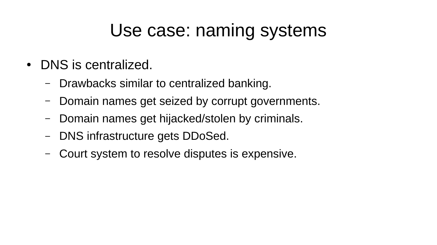#### Use case: naming systems

- DNS is centralized.
	- Drawbacks similar to centralized banking.
	- Domain names get seized by corrupt governments.
	- Domain names get hijacked/stolen by criminals.
	- DNS infrastructure gets DDoSed.
	- Court system to resolve disputes is expensive.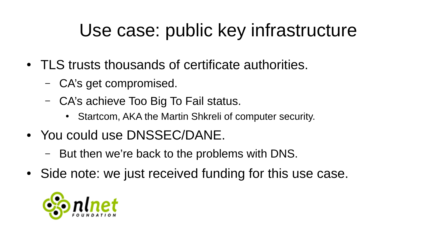## Use case: public key infrastructure

- TLS trusts thousands of certificate authorities.
	- CA's get compromised.
	- CA's achieve Too Big To Fail status.
		- Startcom, AKA the Martin Shkreli of computer security.
- You could use DNSSEC/DANE.
	- But then we're back to the problems with DNS.
- Side note: we just received funding for this use case.

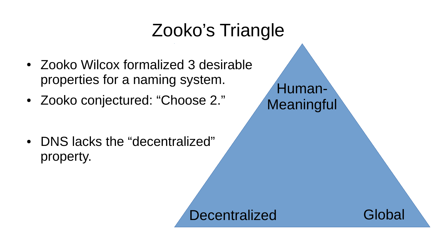### Zooko's Triangle

- Zooko Wilcox formalized 3 desirable properties for a naming system.
- Zooko conjectured: "Choose 2."

• DNS lacks the "decentralized" property.

Human-Meaningful

Decentralized Global

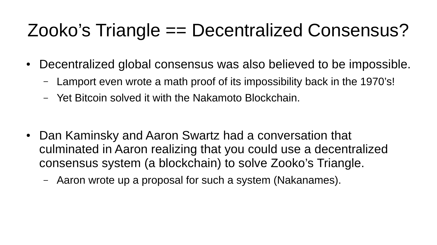# Zooko's Triangle == Decentralized Consensus?

- Decentralized global consensus was also believed to be impossible.
	- Lamport even wrote a math proof of its impossibility back in the 1970's!
	- Yet Bitcoin solved it with the Nakamoto Blockchain.

- Dan Kaminsky and Aaron Swartz had a conversation that culminated in Aaron realizing that you could use a decentralized consensus system (a blockchain) to solve Zooko's Triangle.
	- Aaron wrote up a proposal for such a system (Nakanames).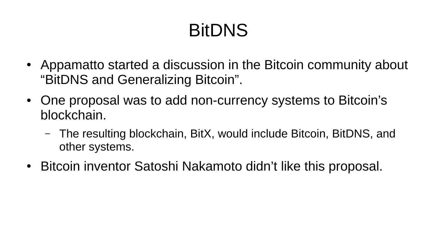# BitDNS

- Appamatto started a discussion in the Bitcoin community about "BitDNS and Generalizing Bitcoin".
- One proposal was to add non-currency systems to Bitcoin's blockchain.
	- The resulting blockchain, BitX, would include Bitcoin, BitDNS, and other systems.
- Bitcoin inventor Satoshi Nakamoto didn't like this proposal.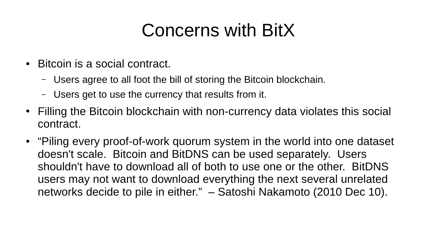## Concerns with BitX

- Bitcoin is a social contract.
	- Users agree to all foot the bill of storing the Bitcoin blockchain.
	- Users get to use the currency that results from it.
- Filling the Bitcoin blockchain with non-currency data violates this social contract.
- "Piling every proof-of-work quorum system in the world into one dataset doesn't scale. Bitcoin and BitDNS can be used separately. Users shouldn't have to download all of both to use one or the other. BitDNS users may not want to download everything the next several unrelated networks decide to pile in either." – Satoshi Nakamoto (2010 Dec 10).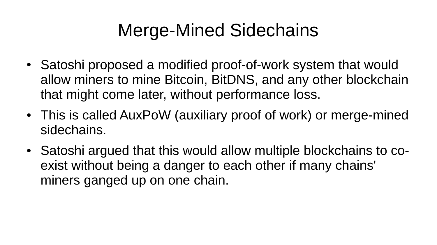## Merge-Mined Sidechains

- Satoshi proposed a modified proof-of-work system that would allow miners to mine Bitcoin, BitDNS, and any other blockchain that might come later, without performance loss.
- This is called AuxPoW (auxiliary proof of work) or merge-mined sidechains.
- Satoshi argued that this would allow multiple blockchains to coexist without being a danger to each other if many chains' miners ganged up on one chain.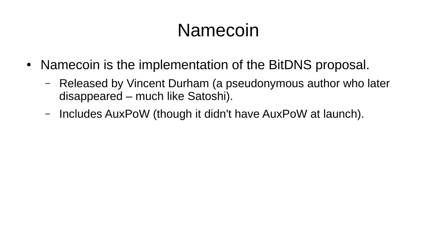#### Namecoin

- Namecoin is the implementation of the BitDNS proposal.
	- Released by Vincent Durham (a pseudonymous author who later disappeared – much like Satoshi).
	- Includes AuxPoW (though it didn't have AuxPoW at launch).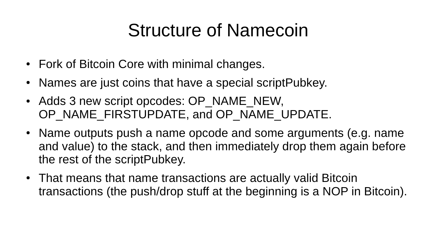### Structure of Namecoin

- Fork of Bitcoin Core with minimal changes.
- Names are just coins that have a special scriptPubkey.
- Adds 3 new script opcodes: OP\_NAME\_NEW, OP\_NAME\_FIRSTUPDATE, and OP\_NAME\_UPDATE.
- Name outputs push a name opcode and some arguments (e.g. name and value) to the stack, and then immediately drop them again before the rest of the scriptPubkey.
- That means that name transactions are actually valid Bitcoin transactions (the push/drop stuff at the beginning is a NOP in Bitcoin).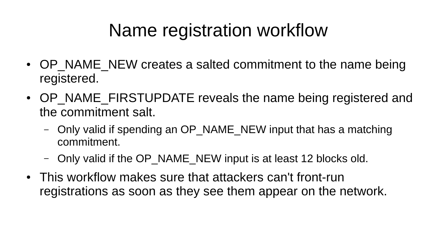# Name registration workflow

- OP NAME NEW creates a salted commitment to the name being registered.
- OP NAME FIRSTUPDATE reveals the name being registered and the commitment salt.
	- Only valid if spending an OP\_NAME\_NEW input that has a matching commitment.
	- Only valid if the OP\_NAME\_NEW input is at least 12 blocks old.
- This workflow makes sure that attackers can't front-run registrations as soon as they see them appear on the network.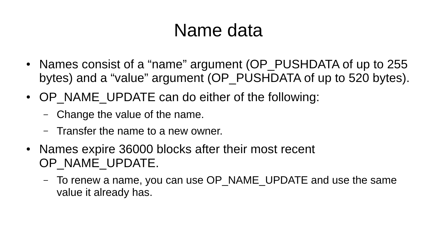### Name data

- Names consist of a "name" argument (OP PUSHDATA of up to 255 bytes) and a "value" argument (OP PUSHDATA of up to 520 bytes).
- OP NAME UPDATE can do either of the following:
	- Change the value of the name.
	- Transfer the name to a new owner.
- Names expire 36000 blocks after their most recent OP\_NAME\_UPDATE.
	- To renew a name, you can use OP\_NAME\_UPDATE and use the same value it already has.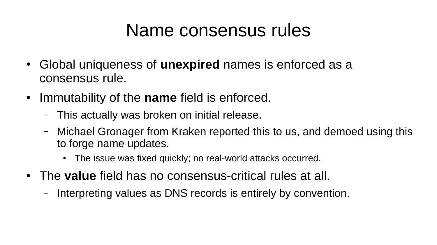#### Name consensus rules

- Global uniqueness of **unexpired** names is enforced as a consensus rule.
- Immutability of the **name** field is enforced.
	- This actually was broken on initial release.
	- Michael Gronager from Kraken reported this to us, and demoed using this to forge name updates.
		- The issue was fixed quickly; no real-world attacks occurred.
- The **value** field has no consensus-critical rules at all.
	- Interpreting values as DNS records is entirely by convention.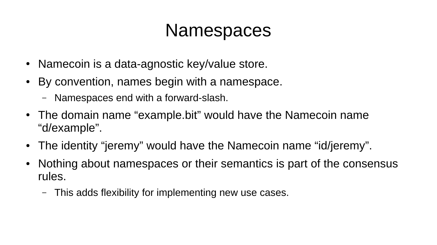#### Namespaces

- Namecoin is a data-agnostic key/value store.
- By convention, names begin with a namespace.
	- Namespaces end with a forward-slash.
- The domain name "example.bit" would have the Namecoin name "d/example".
- The identity "jeremy" would have the Namecoin name "id/jeremy".
- Nothing about namespaces or their semantics is part of the consensus rules.
	- This adds flexibility for implementing new use cases.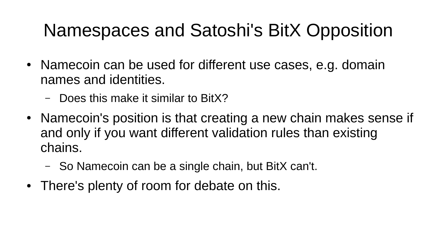# Namespaces and Satoshi's BitX Opposition

- Namecoin can be used for different use cases, e.g. domain names and identities.
	- Does this make it similar to BitX?
- Namecoin's position is that creating a new chain makes sense if and only if you want different validation rules than existing chains.
	- So Namecoin can be a single chain, but BitX can't.
- There's plenty of room for debate on this.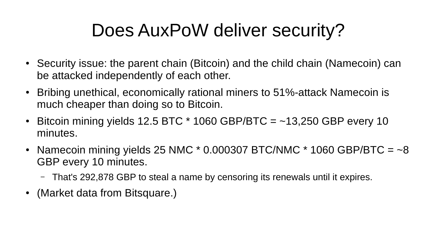# Does AuxPoW deliver security?

- Security issue: the parent chain (Bitcoin) and the child chain (Namecoin) can be attacked independently of each other.
- Bribing unethical, economically rational miners to 51%-attack Namecoin is much cheaper than doing so to Bitcoin.
- Bitcoin mining yields 12.5 BTC  $*$  1060 GBP/BTC =  $-13,250$  GBP every 10 minutes.
- Namecoin mining yields 25 NMC  $*$  0.000307 BTC/NMC  $*$  1060 GBP/BTC =  $-8$ GBP every 10 minutes.
	- That's 292,878 GBP to steal a name by censoring its renewals until it expires.
- (Market data from Bitsquare.)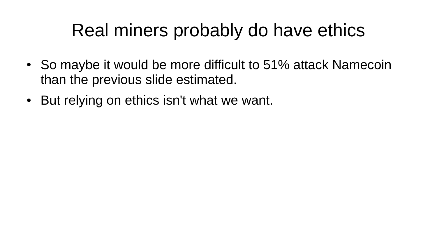### Real miners probably do have ethics

- So maybe it would be more difficult to 51% attack Namecoin than the previous slide estimated.
- But relying on ethics isn't what we want.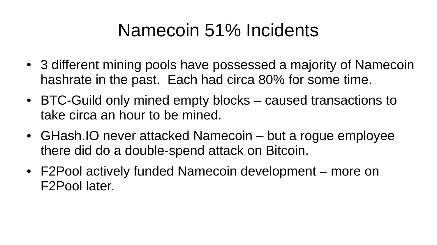### Namecoin 51% Incidents

- 3 different mining pools have possessed a majority of Namecoin hashrate in the past. Each had circa 80% for some time.
- BTC-Guild only mined empty blocks caused transactions to take circa an hour to be mined.
- GHash. IO never attacked Namecoin but a rogue employee there did do a double-spend attack on Bitcoin.
- F2Pool actively funded Namecoin development more on F2Pool later.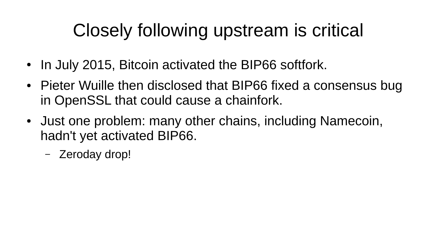# Closely following upstream is critical

- In July 2015, Bitcoin activated the BIP66 softfork.
- Pieter Wuille then disclosed that BIP66 fixed a consensus bug in OpenSSL that could cause a chainfork.
- Just one problem: many other chains, including Namecoin, hadn't yet activated BIP66.
	- Zeroday drop!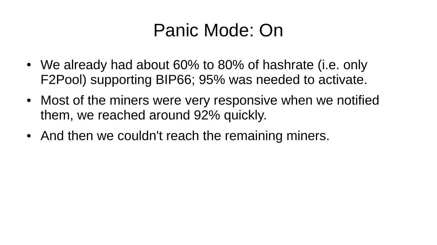### Panic Mode: On

- We already had about 60% to 80% of hashrate (i.e. only F2Pool) supporting BIP66; 95% was needed to activate.
- Most of the miners were very responsive when we notified them, we reached around 92% quickly.
- And then we couldn't reach the remaining miners.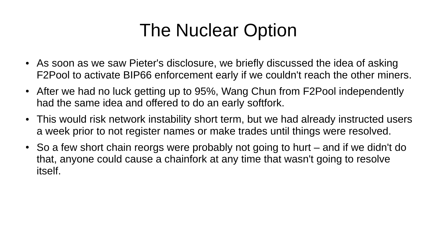## The Nuclear Option

- As soon as we saw Pieter's disclosure, we briefly discussed the idea of asking F2Pool to activate BIP66 enforcement early if we couldn't reach the other miners.
- After we had no luck getting up to 95%, Wang Chun from F2Pool independently had the same idea and offered to do an early softfork.
- This would risk network instability short term, but we had already instructed users a week prior to not register names or make trades until things were resolved.
- So a few short chain reorgs were probably not going to hurt and if we didn't do that, anyone could cause a chainfork at any time that wasn't going to resolve itself.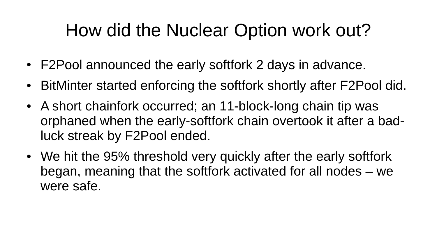### How did the Nuclear Option work out?

- F2Pool announced the early softfork 2 days in advance.
- BitMinter started enforcing the softfork shortly after F2Pool did.
- A short chainfork occurred; an 11-block-long chain tip was orphaned when the early-softfork chain overtook it after a badluck streak by F2Pool ended.
- We hit the 95% threshold very quickly after the early softfork began, meaning that the softfork activated for all nodes – we were safe.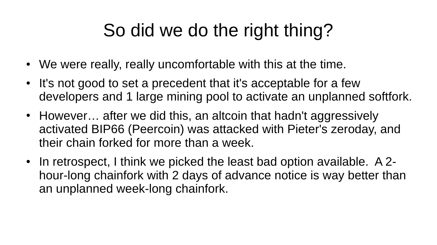# So did we do the right thing?

- We were really, really uncomfortable with this at the time.
- It's not good to set a precedent that it's acceptable for a few developers and 1 large mining pool to activate an unplanned softfork.
- However... after we did this, an altcoin that hadn't aggressively activated BIP66 (Peercoin) was attacked with Pieter's zeroday, and their chain forked for more than a week.
- In retrospect, I think we picked the least bad option available. A 2hour-long chainfork with 2 days of advance notice is way better than an unplanned week-long chainfork.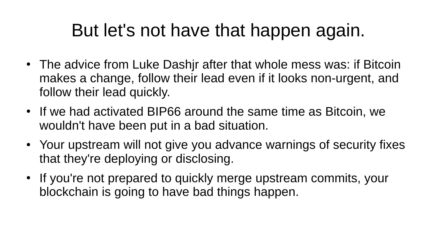## But let's not have that happen again.

- The advice from Luke Dashir after that whole mess was: if Bitcoin makes a change, follow their lead even if it looks non-urgent, and follow their lead quickly.
- If we had activated BIP66 around the same time as Bitcoin, we wouldn't have been put in a bad situation.
- Your upstream will not give you advance warnings of security fixes that they're deploying or disclosing.
- If you're not prepared to quickly merge upstream commits, your blockchain is going to have bad things happen.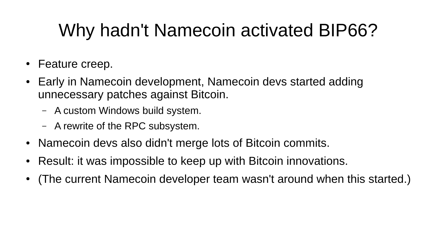# Why hadn't Namecoin activated BIP66?

- Feature creep.
- Early in Namecoin development, Namecoin devs started adding unnecessary patches against Bitcoin.
	- A custom Windows build system.
	- A rewrite of the RPC subsystem.
- Namecoin devs also didn't merge lots of Bitcoin commits.
- Result: it was impossible to keep up with Bitcoin innovations.
- (The current Namecoin developer team wasn't around when this started.)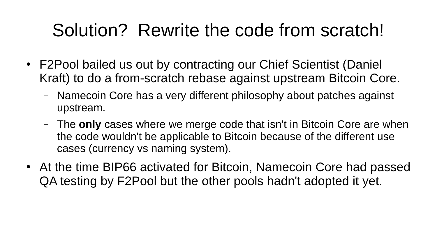### Solution? Rewrite the code from scratch!

- F2Pool bailed us out by contracting our Chief Scientist (Daniel Kraft) to do a from-scratch rebase against upstream Bitcoin Core.
	- Namecoin Core has a very different philosophy about patches against upstream.
	- The **only** cases where we merge code that isn't in Bitcoin Core are when the code wouldn't be applicable to Bitcoin because of the different use cases (currency vs naming system).
- At the time BIP66 activated for Bitcoin, Namecoin Core had passed QA testing by F2Pool but the other pools hadn't adopted it yet.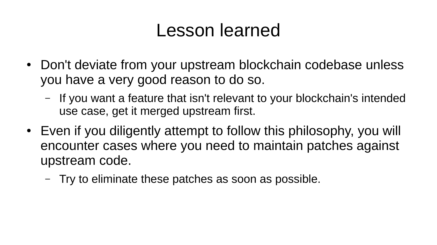#### Lesson learned

- Don't deviate from your upstream blockchain codebase unless you have a very good reason to do so.
	- If you want a feature that isn't relevant to your blockchain's intended use case, get it merged upstream first.
- Even if you diligently attempt to follow this philosophy, you will encounter cases where you need to maintain patches against upstream code.
	- Try to eliminate these patches as soon as possible.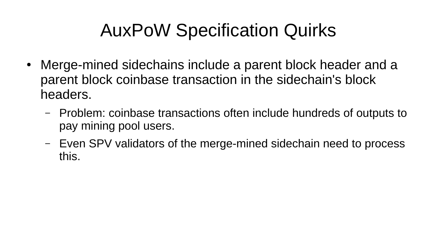# AuxPoW Specification Quirks

- Merge-mined sidechains include a parent block header and a parent block coinbase transaction in the sidechain's block headers.
	- Problem: coinbase transactions often include hundreds of outputs to pay mining pool users.
	- Even SPV validators of the merge-mined sidechain need to process this.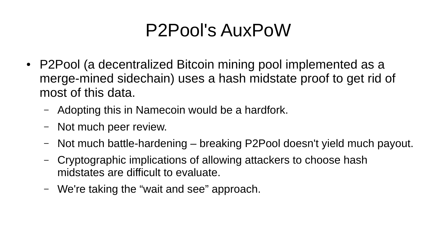### P2Pool's AuxPoW

- P2Pool (a decentralized Bitcoin mining pool implemented as a merge-mined sidechain) uses a hash midstate proof to get rid of most of this data.
	- Adopting this in Namecoin would be a hardfork.
	- Not much peer review.
	- Not much battle-hardening breaking P2Pool doesn't yield much payout.
	- Cryptographic implications of allowing attackers to choose hash midstates are difficult to evaluate.
	- We're taking the "wait and see" approach.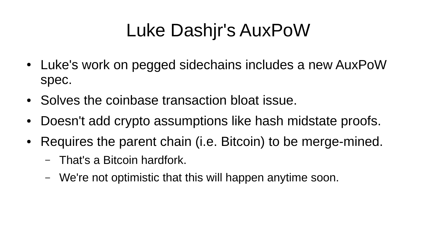# Luke Dashjr's AuxPoW

- Luke's work on pegged sidechains includes a new AuxPoW spec.
- Solves the coinbase transaction bloat issue.
- Doesn't add crypto assumptions like hash midstate proofs.
- Requires the parent chain (i.e. Bitcoin) to be merge-mined.
	- That's a Bitcoin hardfork.
	- We're not optimistic that this will happen anytime soon.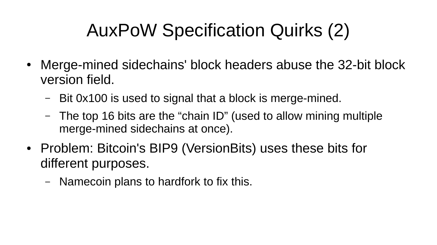# AuxPoW Specification Quirks (2)

- Merge-mined sidechains' block headers abuse the 32-bit block version field.
	- Bit 0x100 is used to signal that a block is merge-mined.
	- The top 16 bits are the "chain ID" (used to allow mining multiple merge-mined sidechains at once).
- Problem: Bitcoin's BIP9 (VersionBits) uses these bits for different purposes.
	- Namecoin plans to hardfork to fix this.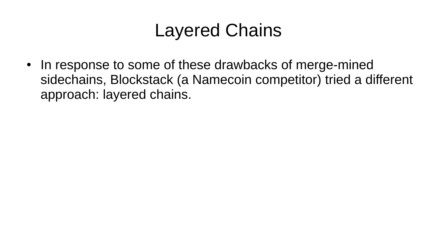## Layered Chains

• In response to some of these drawbacks of merge-mined sidechains, Blockstack (a Namecoin competitor) tried a different approach: layered chains.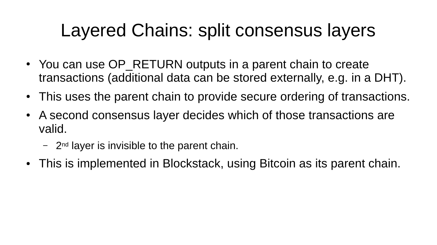# Layered Chains: split consensus layers

- You can use OP RETURN outputs in a parent chain to create transactions (additional data can be stored externally, e.g. in a DHT).
- This uses the parent chain to provide secure ordering of transactions.
- A second consensus layer decides which of those transactions are valid.
	- $-$  2<sup>nd</sup> layer is invisible to the parent chain.
- This is implemented in Blockstack, using Bitcoin as its parent chain.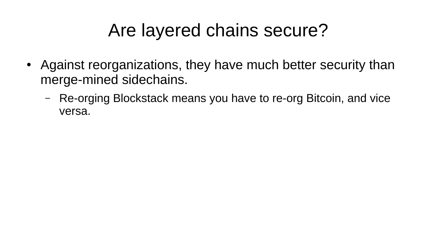# Are layered chains secure?

- Against reorganizations, they have much better security than merge-mined sidechains.
	- Re-orging Blockstack means you have to re-org Bitcoin, and vice versa.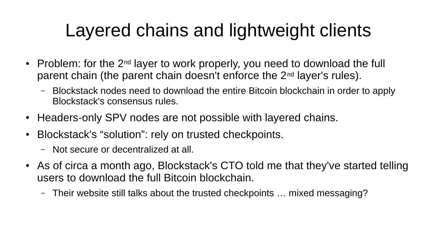# Layered chains and lightweight clients

- Problem: for the  $2^{nd}$  layer to work properly, you need to download the full parent chain (the parent chain doesn't enforce the 2nd layer's rules).
	- Blockstack nodes need to download the entire Bitcoin blockchain in order to apply Blockstack's consensus rules.
- Headers-only SPV nodes are not possible with layered chains.
- Blockstack's "solution": rely on trusted checkpoints.
	- Not secure or decentralized at all.
- As of circa a month ago, Blockstack's CTO told me that they've started telling users to download the full Bitcoin blockchain.
	- Their website still talks about the trusted checkpoints … mixed messaging?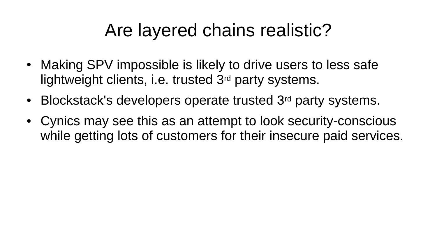## Are layered chains realistic?

- Making SPV impossible is likely to drive users to less safe lightweight clients, i.e. trusted 3<sup>rd</sup> party systems.
- Blockstack's developers operate trusted 3<sup>rd</sup> party systems.
- Cynics may see this as an attempt to look security-conscious while getting lots of customers for their insecure paid services.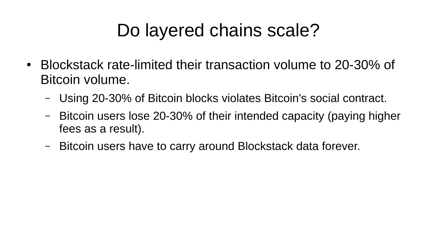# Do layered chains scale?

- Blockstack rate-limited their transaction volume to 20-30% of Bitcoin volume.
	- Using 20-30% of Bitcoin blocks violates Bitcoin's social contract.
	- Bitcoin users lose 20-30% of their intended capacity (paying higher fees as a result).
	- Bitcoin users have to carry around Blockstack data forever.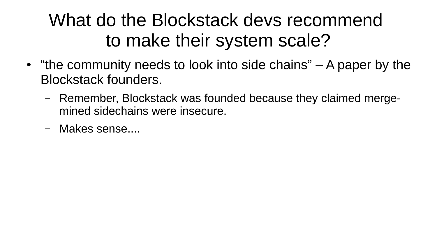# What do the Blockstack devs recommend to make their system scale?

- $\bullet$  "the community needs to look into side chains"  $-$  A paper by the Blockstack founders.
	- Remember, Blockstack was founded because they claimed mergemined sidechains were insecure.
	- Makes sense....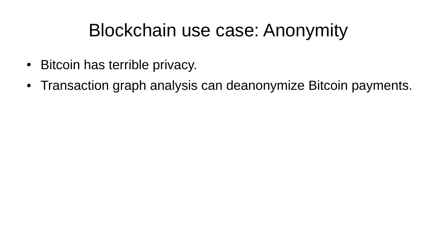### Blockchain use case: Anonymity

- Bitcoin has terrible privacy.
- Transaction graph analysis can deanonymize Bitcoin payments.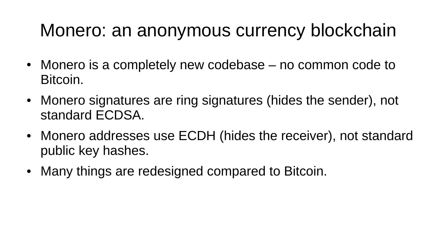### Monero: an anonymous currency blockchain

- Monero is a completely new codebase no common code to Bitcoin.
- Monero signatures are ring signatures (hides the sender), not standard ECDSA.
- Monero addresses use ECDH (hides the receiver), not standard public key hashes.
- Many things are redesigned compared to Bitcoin.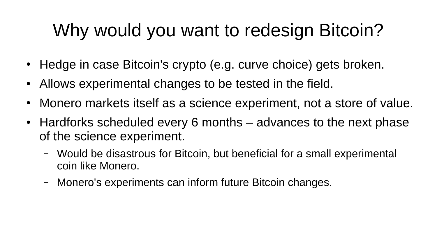# Why would you want to redesign Bitcoin?

- Hedge in case Bitcoin's crypto (e.g. curve choice) gets broken.
- Allows experimental changes to be tested in the field.
- Monero markets itself as a science experiment, not a store of value.
- Hardforks scheduled every 6 months advances to the next phase of the science experiment.
	- Would be disastrous for Bitcoin, but beneficial for a small experimental coin like Monero.
	- Monero's experiments can inform future Bitcoin changes.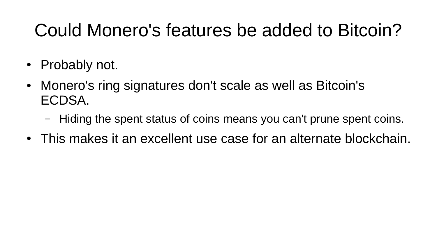# Could Monero's features be added to Bitcoin?

- Probably not.
- Monero's ring signatures don't scale as well as Bitcoin's ECDSA.
	- Hiding the spent status of coins means you can't prune spent coins.
- This makes it an excellent use case for an alternate blockchain.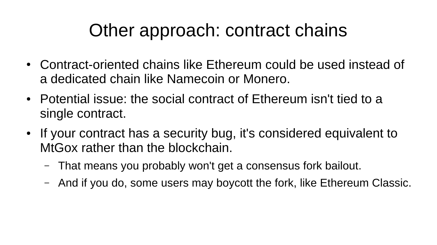## Other approach: contract chains

- Contract-oriented chains like Ethereum could be used instead of a dedicated chain like Namecoin or Monero.
- Potential issue: the social contract of Ethereum isn't tied to a single contract.
- If your contract has a security bug, it's considered equivalent to MtGox rather than the blockchain.
	- That means you probably won't get a consensus fork bailout.
	- And if you do, some users may boycott the fork, like Ethereum Classic.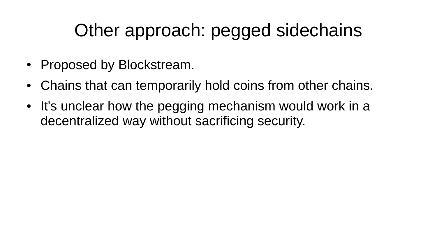# Other approach: pegged sidechains

- Proposed by Blockstream.
- Chains that can temporarily hold coins from other chains.
- It's unclear how the pegging mechanism would work in a decentralized way without sacrificing security.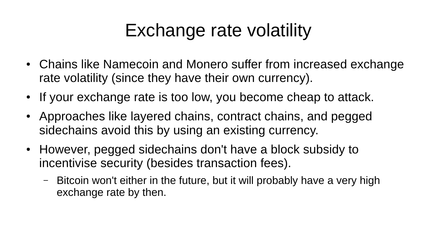# Exchange rate volatility

- Chains like Namecoin and Monero suffer from increased exchange rate volatility (since they have their own currency).
- If your exchange rate is too low, you become cheap to attack.
- Approaches like layered chains, contract chains, and pegged sidechains avoid this by using an existing currency.
- However, pegged sidechains don't have a block subsidy to incentivise security (besides transaction fees).
	- Bitcoin won't either in the future, but it will probably have a very high exchange rate by then.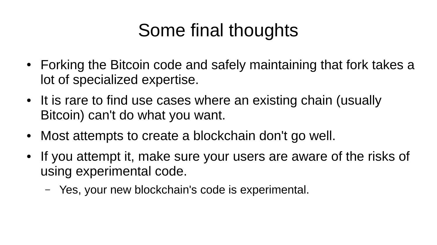# Some final thoughts

- Forking the Bitcoin code and safely maintaining that fork takes a lot of specialized expertise.
- It is rare to find use cases where an existing chain (usually Bitcoin) can't do what you want.
- Most attempts to create a blockchain don't go well.
- If you attempt it, make sure your users are aware of the risks of using experimental code.
	- Yes, your new blockchain's code is experimental.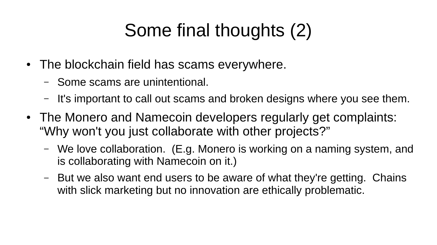# Some final thoughts (2)

- The blockchain field has scams everywhere.
	- Some scams are unintentional.
	- It's important to call out scams and broken designs where you see them.
- The Monero and Namecoin developers regularly get complaints: "Why won't you just collaborate with other projects?"
	- We love collaboration. (E.g. Monero is working on a naming system, and is collaborating with Namecoin on it.)
	- But we also want end users to be aware of what they're getting. Chains with slick marketing but no innovation are ethically problematic.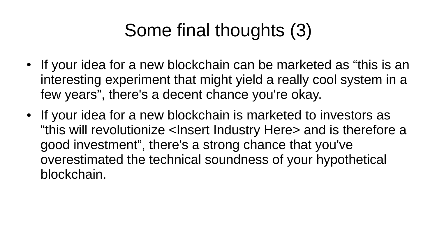# Some final thoughts (3)

- If your idea for a new blockchain can be marketed as "this is an interesting experiment that might yield a really cool system in a few years", there's a decent chance you're okay.
- If your idea for a new blockchain is marketed to investors as "this will revolutionize <Insert Industry Here> and is therefore a good investment", there's a strong chance that you've overestimated the technical soundness of your hypothetical blockchain.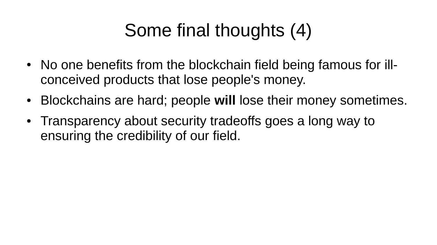# Some final thoughts (4)

- No one benefits from the blockchain field being famous for illconceived products that lose people's money.
- Blockchains are hard; people will lose their money sometimes.
- Transparency about security tradeoffs goes a long way to ensuring the credibility of our field.